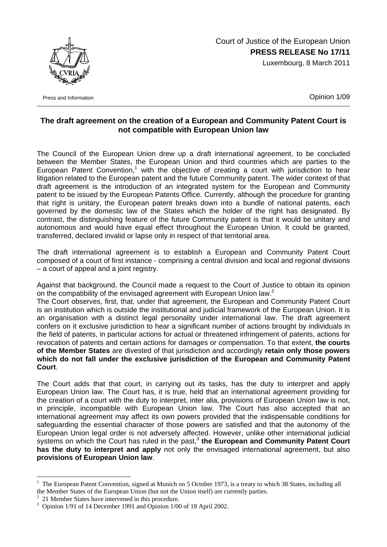

## Court of Justice of the European Union **PRESS RELEASE No 17/11**

Luxembourg, 8 March 2011

Press and Information **Contract Contract Contract Contract Contract Contract Contract Contract Contract Contract Contract Contract Contract Contract Contract Contract Contract Contract Contract Contract Contract Contract C** 

## **The draft agreement on the creation of a European and Community Patent Court is not compatible with European Union law**

The Council of the European Union drew up a draft international agreement, to be concluded between the Member States, the European Union and third countries which are parties to the European Patent Convention,<sup>1</sup> with the objective of creating a court with jurisdiction to hear litigation related to the European patent and the future Community patent. The wider context of that draft agreement is the introduction of an integrated system for the European and Community patent to be issued by the European Patents Office. Currently, although the procedure for granting that right is unitary, the European patent breaks down into a bundle of national patents, each governed by the domestic law of the States which the holder of the right has designated. By contrast, the distinguishing feature of the future Community patent is that it would be unitary and autonomous and would have equal effect throughout the European Union. It could be granted, transferred, declared invalid or lapse only in respect of that territorial area.

The draft international agreement is to establish a European and Community Patent Court composed of a court of first instance - comprising a central division and local and regional divisions – a court of appeal and a joint registry.

Against that background, the Council made a request to the Court of Justice to obtain its opinion on the compatibility of the envisaged agreement with European Union law.<sup>2</sup>

The Court observes, first, that, under that agreement, the European and Community Patent Court is an institution which is outside the institutional and judicial framework of the European Union. It is an organisation with a distinct legal personality under international law. The draft agreement confers on it exclusive jurisdiction to hear a significant number of actions brought by individuals in the field of patents, in particular actions for actual or threatened infringement of patents, actions for revocation of patents and certain actions for damages or compensation. To that extent, **the courts of the Member States** are divested of that jurisdiction and accordingly **retain only those powers**  which do not fall under the exclusive jurisdiction of the European and Community Patent **Court**.

The Court adds that that court, in carrying out its tasks, has the duty to interpret and apply European Union law. The Court has, it is true, held that an international agreement providing for the creation of a court with the duty to interpret, inter alia, provisions of European Union law is not, in principle, incompatible with European Union law. The Court has also accepted that an international agreement may affect its own powers provided that the indispensable conditions for safeguarding the essential character of those powers are satisfied and that the autonomy of the European Union legal order is not adversely affected. However, unlike other international judicial systems on which the Court has ruled in the past,<sup>3</sup> the European and Community Patent Court **has the duty to interpret and apply** not only the envisaged international agreement, but also **provisions of European Union law**.

 $\overline{a}$ 

<sup>&</sup>lt;sup>1</sup> The European Patent Convention, signed at Munich on 5 October 1973, is a treaty to which 38 States, including all the Member States of the European Union (but not the Union itself) are currently parties. 2

 $2$  21 Member States have intervened in this procedure.

<sup>&</sup>lt;sup>3</sup> Opinion 1/91 of 14 December 1991 and Opinion 1/00 of 18 April 2002.